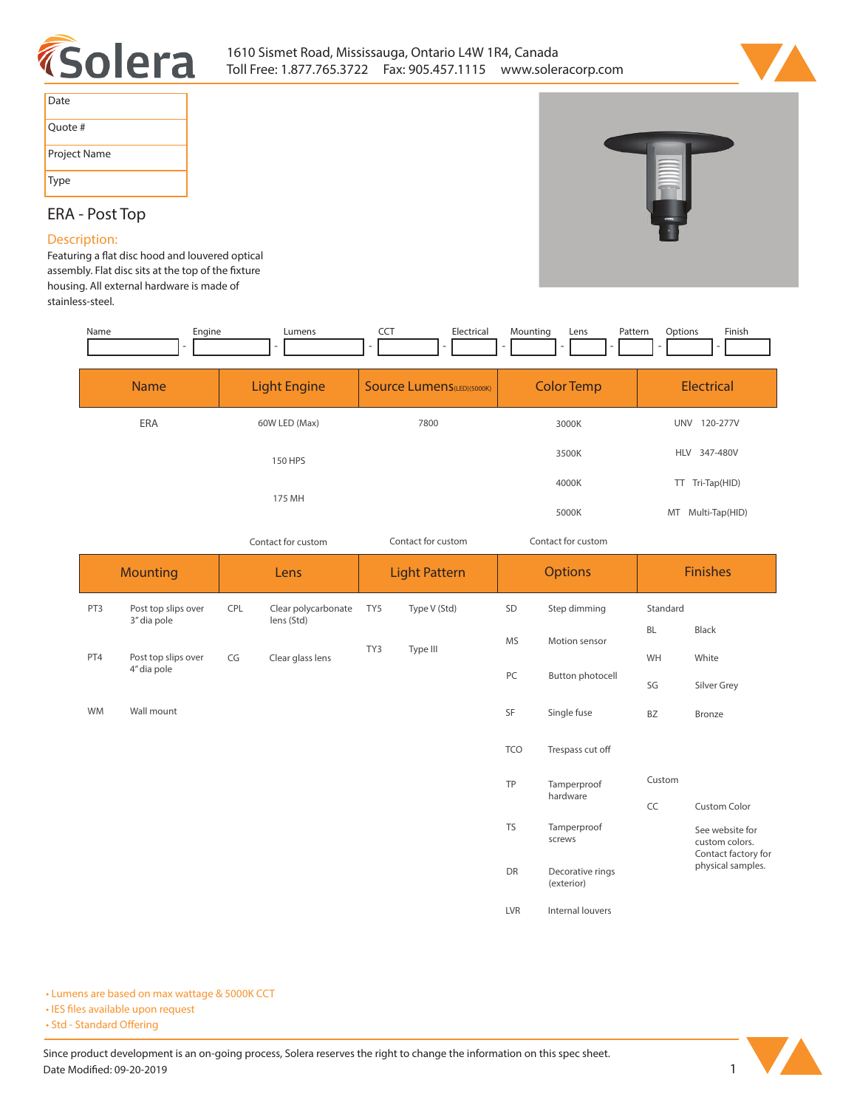



| Date         |
|--------------|
| Ouote #      |
| Project Name |
| Type         |

# **ERA - Post Top**

## **Description:**

Featuring a flat disc hood and louvered optical assembly. Flat disc sits at the top of the fixture **housing. All external hardware is made of stainless-steel.** 

| Name            | Engine                             |                    | Lumens                            | CCT                               | Electrical   | Mounting                 | Pattern<br>Lens                | Options         | Finish                                                   |  |
|-----------------|------------------------------------|--------------------|-----------------------------------|-----------------------------------|--------------|--------------------------|--------------------------------|-----------------|----------------------------------------------------------|--|
|                 | <b>Light Engine</b><br><b>Name</b> |                    |                                   | <b>Source Lumens</b> (LED)(5000K) |              | <b>Color Temp</b>        |                                | Electrical      |                                                          |  |
|                 | ERA                                |                    | 60W LED (Max)                     |                                   | 7800         |                          | 3000K                          |                 | UNV 120-277V                                             |  |
|                 |                                    |                    | 150 HPS                           |                                   |              | 3500K                    |                                | HLV 347-480V    |                                                          |  |
|                 |                                    | 175 MH             |                                   |                                   |              |                          | 4000K                          |                 | TT Tri-Tap(HID)                                          |  |
|                 |                                    |                    |                                   |                                   |              |                          | 5000K                          |                 | MT Multi-Tap(HID)                                        |  |
|                 |                                    | Contact for custom |                                   | Contact for custom                |              | Contact for custom       |                                |                 |                                                          |  |
| <b>Mounting</b> |                                    | Lens               |                                   | <b>Light Pattern</b>              |              | <b>Options</b>           |                                | <b>Finishes</b> |                                                          |  |
| PT3             | Post top slips over<br>3" dia pole | CPL                | Clear polycarbonate<br>lens (Std) | TY5                               | Type V (Std) | SD                       | Step dimming                   | Standard        |                                                          |  |
|                 |                                    |                    |                                   | TY3                               | Type III     | <b>MS</b>                | Motion sensor                  | <b>BL</b>       | Black                                                    |  |
| PT4             | Post top slips over<br>4" dia pole | CG                 | Clear glass lens                  |                                   |              | PC                       | Button photocell               | WH<br>SG        | White<br>Silver Grey                                     |  |
| WM              | Wall mount                         |                    |                                   |                                   |              | SF                       | Single fuse                    | BZ              | Bronze                                                   |  |
|                 |                                    |                    |                                   |                                   |              | <b>TCO</b>               | Trespass cut off               |                 |                                                          |  |
|                 |                                    |                    |                                   |                                   |              | TP                       | Tamperproof<br>hardware        | Custom          |                                                          |  |
|                 |                                    |                    |                                   |                                   |              | <b>TS</b><br>Tamperproof |                                | CC              | <b>Custom Color</b>                                      |  |
|                 |                                    |                    |                                   |                                   |              |                          | screws                         |                 | See website for<br>custom colors.<br>Contact factory for |  |
|                 |                                    |                    |                                   |                                   |              | DR                       | Decorative rings<br>(exterior) |                 | physical samples.                                        |  |
|                 |                                    |                    |                                   |                                   |              | <b>LVR</b>               | Internal louvers               |                 |                                                          |  |

**• Lumens are based on max wattage & 5000K CCT**

**• IES files available upon request** 

• Std - Standard Offering